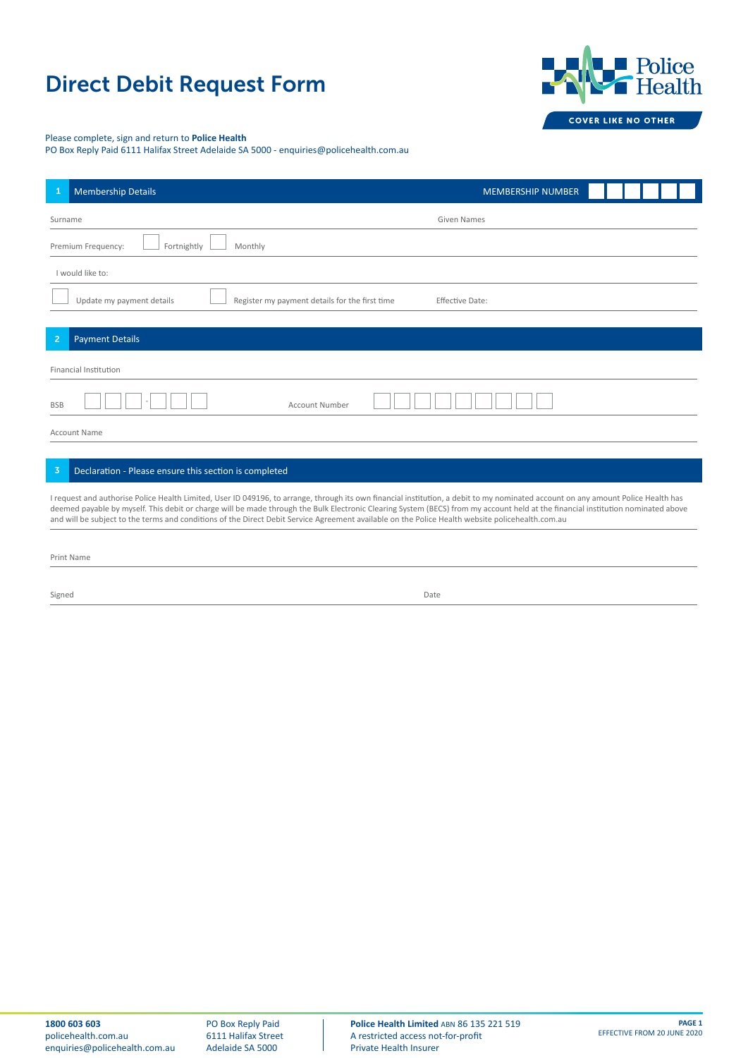## Direct Debit Request Form



## Please complete, sign and return to **Police Health**

PO Box Reply Paid 6111 Halifax Street Adelaide SA 5000 - enquiries@policehealth.com.au

| <b>Membership Details</b><br>1                                                                                                                                                                                                                                                                                                                                                                                                                                                                                            | <b>MEMBERSHIP NUMBER</b> |  |  |
|---------------------------------------------------------------------------------------------------------------------------------------------------------------------------------------------------------------------------------------------------------------------------------------------------------------------------------------------------------------------------------------------------------------------------------------------------------------------------------------------------------------------------|--------------------------|--|--|
| Given Names<br>Surname                                                                                                                                                                                                                                                                                                                                                                                                                                                                                                    |                          |  |  |
| Premium Frequency:<br>Fortnightly<br>Monthly                                                                                                                                                                                                                                                                                                                                                                                                                                                                              |                          |  |  |
| I would like to:                                                                                                                                                                                                                                                                                                                                                                                                                                                                                                          |                          |  |  |
| Update my payment details<br>Register my payment details for the first time<br>Effective Date:                                                                                                                                                                                                                                                                                                                                                                                                                            |                          |  |  |
| $\overline{2}$<br><b>Payment Details</b>                                                                                                                                                                                                                                                                                                                                                                                                                                                                                  |                          |  |  |
| Financial Institution                                                                                                                                                                                                                                                                                                                                                                                                                                                                                                     |                          |  |  |
| <b>Account Number</b><br><b>BSB</b>                                                                                                                                                                                                                                                                                                                                                                                                                                                                                       |                          |  |  |
| <b>Account Name</b>                                                                                                                                                                                                                                                                                                                                                                                                                                                                                                       |                          |  |  |
|                                                                                                                                                                                                                                                                                                                                                                                                                                                                                                                           |                          |  |  |
| Declaration - Please ensure this section is completed<br>3                                                                                                                                                                                                                                                                                                                                                                                                                                                                |                          |  |  |
| I request and authorise Police Health Limited, User ID 049196, to arrange, through its own financial institution, a debit to my nominated account on any amount Police Health has<br>deemed payable by myself. This debit or charge will be made through the Bulk Electronic Clearing System (BECS) from my account held at the financial institution nominated above<br>and will be subject to the terms and conditions of the Direct Debit Service Agreement available on the Police Health website policehealth com au |                          |  |  |

Print Name

Signed Date **Date of the Contract of Contract Contract of Contract Contract Contract Only and Date Only and Date of Contract Only and Date of Contract Only and Date of Contract Only and Date of Contract Only and Date of Co**